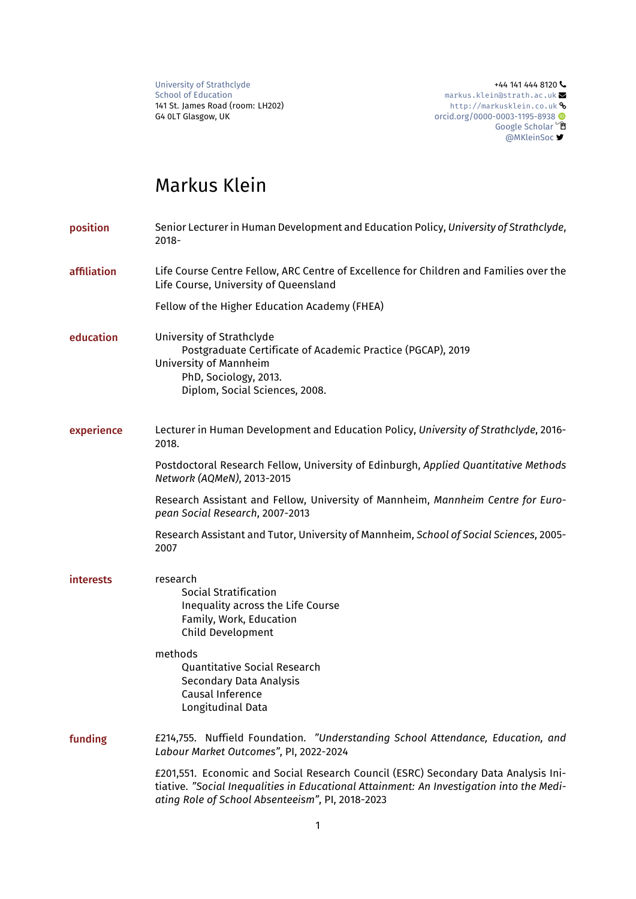[University of Strathclyde](https://www.strath.ac.uk/)  $+44$  141 444 8120  $\sim$ 

[School of Education](https://www.strath.ac.uk/humanities/schoolofeducation/) [markus.klein@strath.ac.uk](mailto:markus.klein@strath.ac.uk) and School of Education markus.kleinastrath.ac.uk and 141 St. James Road (room: LH202) 141 St. James Road (room: LH202) <http://markusklein.co.uk> � © G4 **0LT Glasgow, UK** و[orcid.org/0000-0003-1195-8938](https://orcid.org/0000-0003-1195-8938) المراجع المستخدم و G4 **0LT Glasgow, UK**<br>© [Google Scholar](https://goo.gl/FjiWsJ) [@MKleinSoc](http://twitter.com/MKleinSoc)

# Markus Klein

| position    | Senior Lecturer in Human Development and Education Policy, University of Strathclyde,<br>$2018 -$                                                                                                                                  |
|-------------|------------------------------------------------------------------------------------------------------------------------------------------------------------------------------------------------------------------------------------|
| affiliation | Life Course Centre Fellow, ARC Centre of Excellence for Children and Families over the<br>Life Course, University of Queensland                                                                                                    |
|             | Fellow of the Higher Education Academy (FHEA)                                                                                                                                                                                      |
| education   | University of Strathclyde<br>Postgraduate Certificate of Academic Practice (PGCAP), 2019<br>University of Mannheim<br>PhD, Sociology, 2013.<br>Diplom, Social Sciences, 2008.                                                      |
| experience  | Lecturer in Human Development and Education Policy, University of Strathclyde, 2016-<br>2018.                                                                                                                                      |
|             | Postdoctoral Research Fellow, University of Edinburgh, Applied Quantitative Methods<br>Network (AQMeN), 2013-2015                                                                                                                  |
|             | Research Assistant and Fellow, University of Mannheim, Mannheim Centre for Euro-<br>pean Social Research, 2007-2013                                                                                                                |
|             | Research Assistant and Tutor, University of Mannheim, School of Social Sciences, 2005-<br>2007                                                                                                                                     |
| interests   | research<br>Social Stratification<br>Inequality across the Life Course<br>Family, Work, Education<br>Child Development                                                                                                             |
|             | methods<br><b>Quantitative Social Research</b><br>Secondary Data Analysis<br>Causal Inference<br>Longitudinal Data                                                                                                                 |
| funding     | £214,755. Nuffield Foundation. "Understanding School Attendance, Education, and<br>Labour Market Outcomes", PI, 2022-2024                                                                                                          |
|             | £201,551. Economic and Social Research Council (ESRC) Secondary Data Analysis Ini-<br>tiative. "Social Inequalities in Educational Attainment: An Investigation into the Medi-<br>ating Role of School Absenteeism", PI, 2018-2023 |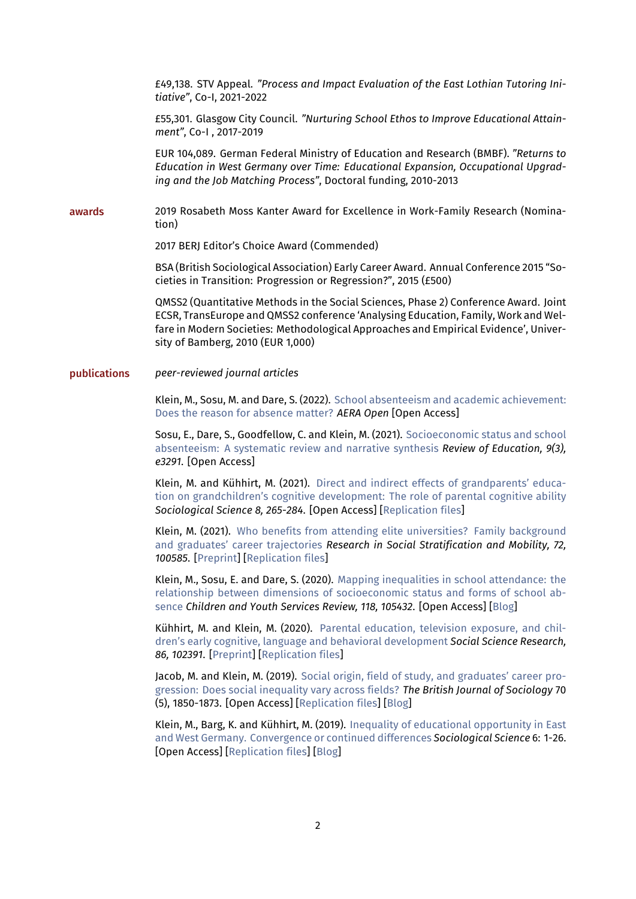£49,138. STV Appeal. *"Process and Impact Evaluation of the East Lothian Tutoring Initiative"*, Co-I, 2021-2022

£55,301. Glasgow City Council. *"Nurturing School Ethos to Improve Educational Attainment"*, Co-I , 2017-2019

EUR 104,089. German Federal Ministry of Education and Research (BMBF). *"Returns to Education in West Germany over Time: Educational Expansion, Occupational Upgrading and the Job Matching Process"*, Doctoral funding, 2010-2013

awards 2019 Rosabeth Moss Kanter Award for Excellence in Work-Family Research (Nomination)

2017 BERJ Editor's Choice Award (Commended)

BSA (British Sociological Association) Early Career Award. Annual Conference 2015 "Societies in Transition: Progression or Regression?", 2015 (£500)

QMSS2 (Quantitative Methods in the Social Sciences, Phase 2) Conference Award. Joint ECSR, TransEurope and QMSS2 conference 'Analysing Education, Family, Work and Welfare in Modern Societies: Methodological Approaches and Empirical Evidence', University of Bamberg, 2010 (EUR 1,000)

### publications *peer-reviewed journal articles*

Klein, M., Sosu, M. and Dare, S. (2022). [School absenteeism and academic achievement:](https://journals.sagepub.com/doi/full/10.1177/23328584211071115) [Does the reason for absence matter?](https://journals.sagepub.com/doi/full/10.1177/23328584211071115) *AERA Open* [Open Access]

Sosu, E., Dare, S., Goodfellow, C. and Klein, M. (2021). [Socioeconomic status and school](https://bera-journals.onlinelibrary.wiley.com/doi/epdf/10.1002/rev3.3291) [absenteeism: A systematic review and narrative synthesis](https://bera-journals.onlinelibrary.wiley.com/doi/epdf/10.1002/rev3.3291) *Review of Education, 9(3), e3291*. [Open Access]

Klein, M. and Kühhirt, M. (2021). [Direct and indirect effects of grandparents' educa](https://sociologicalscience.com/download/vol-8/july/SocSci_v8_265to284.pdf)[tion on grandchildren's cognitive development: The role of parental cognitive ability](https://sociologicalscience.com/download/vol-8/july/SocSci_v8_265to284.pdf) *Sociological Science 8, 265-284*. [Open Access] [[Replication files\]](https://osf.io/f253g/)

Klein, M. (2021). [Who benefits from attending elite universities? Family background](https://www.sciencedirect.com/science/article/abs/pii/S0276562421000056) [and graduates' career trajectories](https://www.sciencedirect.com/science/article/abs/pii/S0276562421000056) *Research in Social Stratification and Mobility, 72, 100585*. [[Preprint\]](https://www.lifecoursecentre.org.au/wp-content/uploads/2019/06/2019-12-LCC-Working-Paper-Klein.pdf) [\[Replication files](https://osf.io/utfek/)]

Klein, M., Sosu, E. and Dare, S. (2020). [Mapping inequalities in school attendance: the](https://reader.elsevier.com/reader/sd/pii/S0190740920303698?token=7B50290DA6824D9B0E0BBAD5645AAE5A26736EFD6343516C4303240086F91B149D25C80F38A135EB54AF8D2A73573A68) [relationship between dimensions of socioeconomic status and forms of school ab](https://reader.elsevier.com/reader/sd/pii/S0190740920303698?token=7B50290DA6824D9B0E0BBAD5645AAE5A26736EFD6343516C4303240086F91B149D25C80F38A135EB54AF8D2A73573A68)[sence](https://reader.elsevier.com/reader/sd/pii/S0190740920303698?token=7B50290DA6824D9B0E0BBAD5645AAE5A26736EFD6343516C4303240086F91B149D25C80F38A135EB54AF8D2A73573A68) *Children and Youth Services Review, 118, 105432*. [Open Access] [\[Blog](https://www.strath.ac.uk/humanities/schoolofeducation/blog/schoolattendanceandthepoverty-relatedattainmentgap/)]

Kühhirt, M. and Klein, M. (2020). [Parental education, television exposure, and chil](https://www.sciencedirect.com/science/article/pii/S0049089X18310470)[dren's early cognitive, language and behavioral development](https://www.sciencedirect.com/science/article/pii/S0049089X18310470) *Social Science Research, 86, 102391*. [[Preprint](http://www.lifecoursecentre.org.au/working-papers/the-social-stratification-of-early-tv-consumption-and-childrens-cognitive-language-and-behavioral-development)] [\[Replication files](https://osf.io/4v3dg/)]

Jacob, M. and Klein, M. (2019). [Social origin, field of study, and graduates' career pro](https://onlinelibrary.wiley.com/doi/full/10.1111/1468-4446.12696)[gression: Does social inequality vary across fields?](https://onlinelibrary.wiley.com/doi/full/10.1111/1468-4446.12696) *The British Journal of Sociology* 70 (5), 1850-1873. [Open Access] [\[Replication files](https://osf.io/wz9e5/)] [\[Blog](https://sociologylens.net/topics/organisations-and-work/long-term-impact-social-background-graduates-careers/26088)]

Klein, M., Barg, K. and Kühhirt, M. (2019). [Inequality of educational opportunity in East](https://www.sociologicalscience.com/download/vol-6/january/SocSci_v6_1to26.pdf) [and West Germany. Convergence or continued differences](https://www.sociologicalscience.com/download/vol-6/january/SocSci_v6_1to26.pdf) *Sociological Science* 6: 1-26. [Open Access] [\[Replication files](https://osf.io/ntgd6/)] [\[Blog](https://theconversation.com/what-the-fall-of-the-berlin-wall-and-german-unification-have-meant-for-educational-inequality-124331)]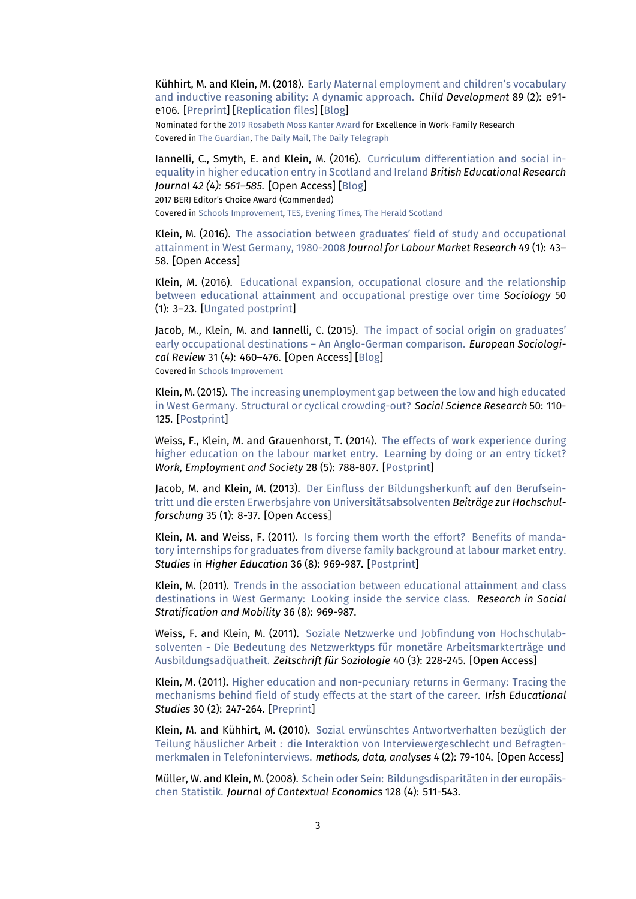Kühhirt, M. and Klein, M. (2018). [Early Maternal employment and children's vocabulary](http://onlinelibrary.wiley.com/doi/10.1111/cdev.12796/abstract) [and inductive reasoning ability: A dynamic approach.](http://onlinelibrary.wiley.com/doi/10.1111/cdev.12796/abstract) *Child Development* 89 (2): e91 e106. [[Preprint](https://osf.io/preprints/socarxiv/brscf)] [\[Replication files](https://osf.io/m8trg/)] [\[Blog](https://theconversation.com/being-a-working-mother-is-not-bad-for-your-children-78439)]

Nominated for the [2019 Rosabeth Moss Kanter Award](https://www.purdue.edu/hhs/hdfs/cff/initiatives/kanteraward/nominations/2019kanter/) for Excellence in Work-Family Research Covered in [The Guardian](https://www.theguardian.com/commentisfree/2018/jul/23/working-mothers-women-in-work-children), [The Daily Mail,](https://www.dailymail.co.uk/sciencetech/article-4746340/Being-working-mother-not-bad-children.html) [The Daily Telegraph](https://www.dailytelegraph.com.au/news/nsw/little-difference-found-between-children-with-a-working-mum-or-a-stayathome-parent/news-story/741c5fb534d09ed1cfad5859086b3e11)

Iannelli, C., Smyth, E. and Klein, M. (2016). [Curriculum differentiation and social in](https://onlinelibrary.wiley.com/doi/abs/10.1002/berj.3217)[equality in higher education entry in Scotland and Ireland](https://onlinelibrary.wiley.com/doi/abs/10.1002/berj.3217) *British Educational Research Journal 42 (4): 561–585.* [Open Access] [\[Blog](https://www.esri.ie/pubs/RB20160101.pdf)] 2017 BERJ Editor's Choice Award (Commended)

Covered in [Schools Improvement,](https://schoolsimprovement.net/subject-choices-vital-in-closing-the-gap-in-scotland/) [TES,](https://www.tes.com/news/scotland-subject-choice-vital-improving-childrens-life-chances-researchers-say) [Evening Times](https://www.eveningtimes.co.uk/news/13935234.subject-choice-in-scotlands-schools-discriminates-against-poorer-pupils/), [The Herald Scotland](https://www.heraldscotland.com/news/13934994.subject-choice-in-scottish-schools-discriminates-against-poorer-pupils/)

Klein, M. (2016). [The association between graduates' field of study and occupational](https://goo.gl/cYYSyq) [attainment in West Germany, 1980-2008](https://goo.gl/cYYSyq) *Journal for Labour Market Research* 49 (1): 43– 58. [Open Access]

Klein, M. (2016). [Educational expansion, occupational closure and the relationship](http://journals.sagepub.com/doi/abs/10.1177/0038038514560602) [between educational attainment and occupational prestige over time](http://journals.sagepub.com/doi/abs/10.1177/0038038514560602) *Sociology* 50 (1): 3–23. [\[Ungated postprint\]](https://goo.gl/m4Jjx7)

Jacob, M., Klein, M. and Iannelli, C. (2015). [The impact of social origin on graduates'](https://academic.oup.com/esr/article/31/4/460/496092) [early occupational destinations – An Anglo-German comparison.](https://academic.oup.com/esr/article/31/4/460/496092) *European Sociological Review* 31 (4): 460–476. [Open Access] [[Blog\]](https://theconversation.com/family-background-more-important-for-a-good-graduate-job-in-the-uk-than-germany-34939) Covered in [Schools Improvement](https://schoolsimprovement.net/family-background-more-important-for-a-good-graduate-job-in-the-uk-than-germany/)

Klein, M. (2015). [The increasing unemployment gap between the low and high educated](https://www.sciencedirect.com/science/article/pii/S0049089X14002166) [in West Germany. Structural or cyclical crowding-out?](https://www.sciencedirect.com/science/article/pii/S0049089X14002166) *Social Science Research* 50: 110- 125. [[Postprint](https://goo.gl/MKSmzY)]

Weiss, F., Klein, M. and Grauenhorst, T. (2014). [The effects of work experience during](http://journals.sagepub.com/doi/abs/10.1177/0950017013506772) [higher education on the labour market entry. Learning by doing or an entry ticket?](http://journals.sagepub.com/doi/abs/10.1177/0950017013506772) *Work, Employment and Society* 28 (5): 788-807. [\[Postprint](https://goo.gl/AneiWs)]

Jacob, M. and Klein, M. (2013). [Der Einfluss der Bildungsherkunft auf den Berufsein](http://www.bzh.bayern.de/uploads/media/1-2013-Jacob-Klein.pdf)[tritt und die ersten Erwerbsjahre von Universitätsabsolventen](http://www.bzh.bayern.de/uploads/media/1-2013-Jacob-Klein.pdf) *Beiträge zur Hochschulforschung* 35 (1): 8-37. [Open Access]

Klein, M. and Weiss, F. (2011). [Is forcing them worth the effort? Benefits of manda](https://www.tandfonline.com/doi/abs/10.1080/03075079.2010.487936)[tory internships for graduates from diverse family background at labour market entry.](https://www.tandfonline.com/doi/abs/10.1080/03075079.2010.487936) *Studies in Higher Education* 36 (8): 969-987. [\[Postprint\]](https://goo.gl/Du6r51)

Klein, M. (2011). [Trends in the association between educational attainment and class](https://www.sciencedirect.com/science/article/pii/S0276562411000230) [destinations in West Germany: Looking inside the service class.](https://www.sciencedirect.com/science/article/pii/S0276562411000230) *Research in Social Stratification and Mobility* 36 (8): 969-987.

Weiss, F. and Klein, M. (2011). [Soziale Netzwerke und Jobfindung von Hochschulab](https://www.degruyter.com/downloadpdf/j/zfsoz.2011.40.issue-3/zfsoz-2011-0304/zfsoz-2011-0304.pdf)[solventen - Die Bedeutung des Netzwerktyps für monetäre Arbeitsmarkterträge und](https://www.degruyter.com/downloadpdf/j/zfsoz.2011.40.issue-3/zfsoz-2011-0304/zfsoz-2011-0304.pdf) Ausbildungsadğuatheit. *Zeitschrift für Soziologie* 40 (3): 228-245. [Open Access]

Klein, M. (2011). [Higher education and non-pecuniary returns in Germany: Tracing the](https://www.tandfonline.com/doi/abs/10.1080/03323315.2011.569144) [mechanisms behind field of study effects at the start of the career.](https://www.tandfonline.com/doi/abs/10.1080/03323315.2011.569144) *Irish Educational Studies* 30 (2): 247-264. [[Preprint\]](http://www.mzes.uni-mannheim.de/publications/wp/wp-130.pdf)

Klein, M. and Kühhirt, M. (2010). [Sozial erwünschtes Antwortverhalten bezüglich der](https://www.ssoar.info/ssoar/bitstream/handle/document/21012/ssoar-mda-2010-2-klein_et_al-sozial_erwunschtes_antwortverhalten_bezuglich_der.pdf?sequence=1) [Teilung häuslicher Arbeit : die Interaktion von Interviewergeschlecht und Befragten](https://www.ssoar.info/ssoar/bitstream/handle/document/21012/ssoar-mda-2010-2-klein_et_al-sozial_erwunschtes_antwortverhalten_bezuglich_der.pdf?sequence=1)[merkmalen in Telefoninterviews.](https://www.ssoar.info/ssoar/bitstream/handle/document/21012/ssoar-mda-2010-2-klein_et_al-sozial_erwunschtes_antwortverhalten_bezuglich_der.pdf?sequence=1) *methods, data, analyses* 4 (2): 79-104. [Open Access]

Müller, W. and Klein, M. (2008). [Schein oder Sein: Bildungsdisparitäten in der europäis](https://goo.gl/gmcDEz.)[chen Statistik.](https://goo.gl/gmcDEz.) *Journal of Contextual Economics* 128 (4): 511-543.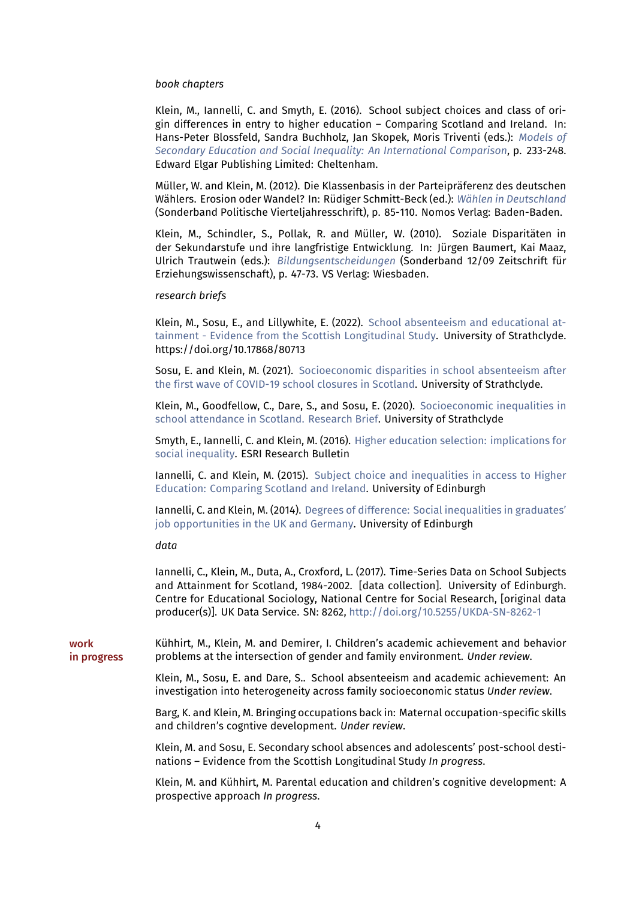### *book chapters*

Klein, M., Iannelli, C. and Smyth, E. (2016). School subject choices and class of origin differences in entry to higher education – Comparing Scotland and Ireland. In: Hans-Peter Blossfeld, Sandra Buchholz, Jan Skopek, Moris Triventi (eds.): *[Models of](https://www.e-elgar.com/shop/models-of-secondary-education-and-social-inequality) [Secondary Education and Social Inequality: An International Comparison](https://www.e-elgar.com/shop/models-of-secondary-education-and-social-inequality)*, p. 233-248. Edward Elgar Publishing Limited: Cheltenham.

Müller, W. and Klein, M. (2012). Die Klassenbasis in der Parteipräferenz des deutschen Wählers. Erosion oder Wandel? In: Rüdiger Schmitt-Beck (ed.): *[Wählen in Deutschland](https://goo.gl/zAHKaP)* (Sonderband Politische Vierteljahresschrift), p. 85-110. Nomos Verlag: Baden-Baden.

Klein, M., Schindler, S., Pollak, R. and Müller, W. (2010). Soziale Disparitäten in der Sekundarstufe und ihre langfristige Entwicklung. In: Jürgen Baumert, Kai Maaz, Ulrich Trautwein (eds.): *[Bildungsentscheidungen](https://www.springer.com/de/book/9783531167176)* (Sonderband 12/09 Zeitschrift für Erziehungswissenschaft), p. 47-73. VS Verlag: Wiesbaden.

### *research briefs*

Klein, M., Sosu, E., and Lillywhite, E. (2022). [School absenteeism and educational at](https://pure.strath.ac.uk/ws/portalfiles/portal/135626502/Klein_etal_2022_School_Absenteeism_and_Educational_Attainment_Evidence_from_the_Scottish.pdf)[tainment - Evidence from the Scottish Longitudinal Study](https://pure.strath.ac.uk/ws/portalfiles/portal/135626502/Klein_etal_2022_School_Absenteeism_and_Educational_Attainment_Evidence_from_the_Scottish.pdf). University of Strathclyde. https://doi.org/10.17868/80713

Sosu, E. and Klein, M. (2021). [Socioeconomic disparities in school absenteeism after](https://pure.strath.ac.uk/ws/portalfiles/portal/117483909/Sosu_Klein_2021_Socioeconomic_disparities_in_school_absenteeism_after.pdf) [the first wave of COVID-19 school closures in Scotland.](https://pure.strath.ac.uk/ws/portalfiles/portal/117483909/Sosu_Klein_2021_Socioeconomic_disparities_in_school_absenteeism_after.pdf) University of Strathclyde.

Klein, M., Goodfellow, C., Dare, S., and Sosu, E. (2020). [Socioeconomic inequalities in](https://pure.strath.ac.uk/ws/portalfiles/portal/107303630/Klein_etal_UoS_2020_Socioeconomic_Inequalities_in_School_Attendance_in_Scotland.pdf) [school attendance in Scotland. Research Brief](https://pure.strath.ac.uk/ws/portalfiles/portal/107303630/Klein_etal_UoS_2020_Socioeconomic_Inequalities_in_School_Attendance_in_Scotland.pdf). University of Strathclyde

Smyth, E., Iannelli, C. and Klein, M. (2016). [Higher education selection: implications for](https://www.esri.ie/system/files?file=media/file-uploads/2016-01/RB20160101.pdf) [social inequality.](https://www.esri.ie/system/files?file=media/file-uploads/2016-01/RB20160101.pdf) ESRI Research Bulletin

Iannelli, C. and Klein, M. (2015). [Subject choice and inequalities in access to Higher](https://www.blogs.law.ed.ac.uk/aqmen/wp-content/uploads/sites/27/2017/07/Subject-choice-and-inequalities-in-access-to-Higher-Education-Comparing-Scotland-and-Ireland.pdf) [Education: Comparing Scotland and Ireland.](https://www.blogs.law.ed.ac.uk/aqmen/wp-content/uploads/sites/27/2017/07/Subject-choice-and-inequalities-in-access-to-Higher-Education-Comparing-Scotland-and-Ireland.pdf) University of Edinburgh

Iannelli, C. and Klein, M. (2014). [Degrees of difference: Social inequalities in graduates'](https://www.research.ed.ac.uk/portal/files/30878507/RB6_degrees_difference.pdf) [job opportunities in the UK and Germany.](https://www.research.ed.ac.uk/portal/files/30878507/RB6_degrees_difference.pdf) University of Edinburgh

*data*

Iannelli, C., Klein, M., Duta, A., Croxford, L. (2017). Time-Series Data on School Subjects and Attainment for Scotland, 1984-2002. [data collection]. University of Edinburgh. Centre for Educational Sociology, National Centre for Social Research, [original data producer(s)]. UK Data Service. SN: 8262, <http://doi.org/10.5255/UKDA-SN-8262-1>

work in progress Kühhirt, M., Klein, M. and Demirer, I. Children's academic achievement and behavior problems at the intersection of gender and family environment. *Under review*.

> Klein, M., Sosu, E. and Dare, S.. School absenteeism and academic achievement: An investigation into heterogeneity across family socioeconomic status *Under review*.

> Barg, K. and Klein, M. Bringing occupations back in: Maternal occupation-specific skills and children's cogntive development. *Under review*.

> Klein, M. and Sosu, E. Secondary school absences and adolescents' post-school destinations – Evidence from the Scottish Longitudinal Study *In progress*.

> Klein, M. and Kühhirt, M. Parental education and children's cognitive development: A prospective approach *In progress*.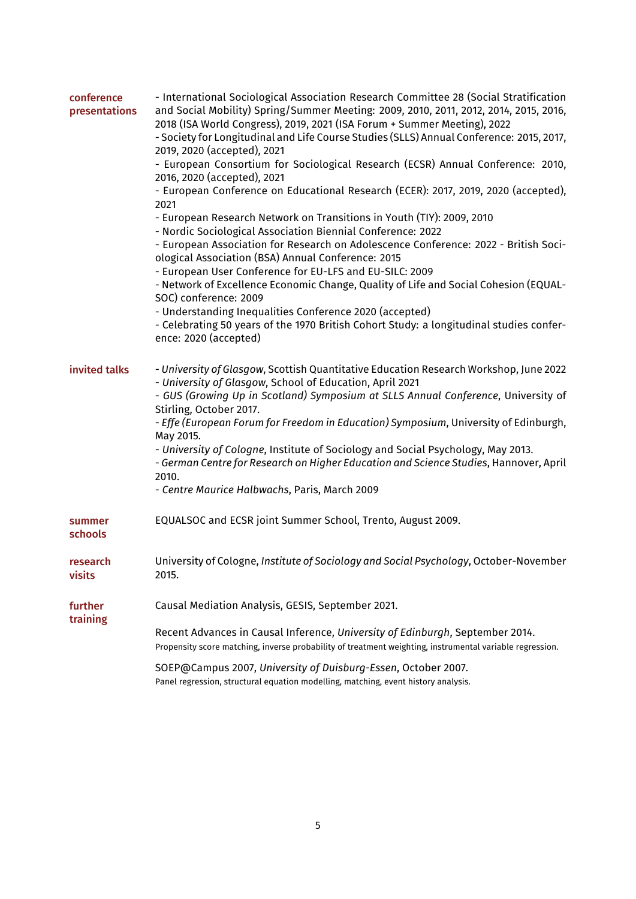| conference<br>presentations | - International Sociological Association Research Committee 28 (Social Stratification<br>and Social Mobility) Spring/Summer Meeting: 2009, 2010, 2011, 2012, 2014, 2015, 2016,<br>2018 (ISA World Congress), 2019, 2021 (ISA Forum + Summer Meeting), 2022<br>- Society for Longitudinal and Life Course Studies (SLLS) Annual Conference: 2015, 2017,<br>2019, 2020 (accepted), 2021<br>- European Consortium for Sociological Research (ECSR) Annual Conference: 2010,<br>2016, 2020 (accepted), 2021<br>- European Conference on Educational Research (ECER): 2017, 2019, 2020 (accepted),<br>2021<br>- European Research Network on Transitions in Youth (TIY): 2009, 2010<br>- Nordic Sociological Association Biennial Conference: 2022<br>- European Association for Research on Adolescence Conference: 2022 - British Soci-<br>ological Association (BSA) Annual Conference: 2015<br>- European User Conference for EU-LFS and EU-SILC: 2009<br>- Network of Excellence Economic Change, Quality of Life and Social Cohesion (EQUAL-<br>SOC) conference: 2009<br>- Understanding Inequalities Conference 2020 (accepted)<br>- Celebrating 50 years of the 1970 British Cohort Study: a longitudinal studies confer-<br>ence: 2020 (accepted) |
|-----------------------------|-------------------------------------------------------------------------------------------------------------------------------------------------------------------------------------------------------------------------------------------------------------------------------------------------------------------------------------------------------------------------------------------------------------------------------------------------------------------------------------------------------------------------------------------------------------------------------------------------------------------------------------------------------------------------------------------------------------------------------------------------------------------------------------------------------------------------------------------------------------------------------------------------------------------------------------------------------------------------------------------------------------------------------------------------------------------------------------------------------------------------------------------------------------------------------------------------------------------------------------------------------|
| invited talks               | - University of Glasgow, Scottish Quantitative Education Research Workshop, June 2022<br>- University of Glasgow, School of Education, April 2021<br>- GUS (Growing Up in Scotland) Symposium at SLLS Annual Conference, University of<br>Stirling, October 2017.<br>- Effe (European Forum for Freedom in Education) Symposium, University of Edinburgh,<br>May 2015.<br>- University of Cologne, Institute of Sociology and Social Psychology, May 2013.<br>- German Centre for Research on Higher Education and Science Studies, Hannover, April<br>2010.<br>- Centre Maurice Halbwachs, Paris, March 2009                                                                                                                                                                                                                                                                                                                                                                                                                                                                                                                                                                                                                                         |
| summer<br>schools           | EQUALSOC and ECSR joint Summer School, Trento, August 2009.                                                                                                                                                                                                                                                                                                                                                                                                                                                                                                                                                                                                                                                                                                                                                                                                                                                                                                                                                                                                                                                                                                                                                                                           |
| research<br>visits          | University of Cologne, Institute of Sociology and Social Psychology, October-November<br>2015.                                                                                                                                                                                                                                                                                                                                                                                                                                                                                                                                                                                                                                                                                                                                                                                                                                                                                                                                                                                                                                                                                                                                                        |
| further<br>training         | Causal Mediation Analysis, GESIS, September 2021.<br>Recent Advances in Causal Inference, University of Edinburgh, September 2014.<br>Propensity score matching, inverse probability of treatment weighting, instrumental variable regression.<br>SOEP@Campus 2007, University of Duisburg-Essen, October 2007.<br>Panel regression, structural equation modelling, matching, event history analysis.                                                                                                                                                                                                                                                                                                                                                                                                                                                                                                                                                                                                                                                                                                                                                                                                                                                 |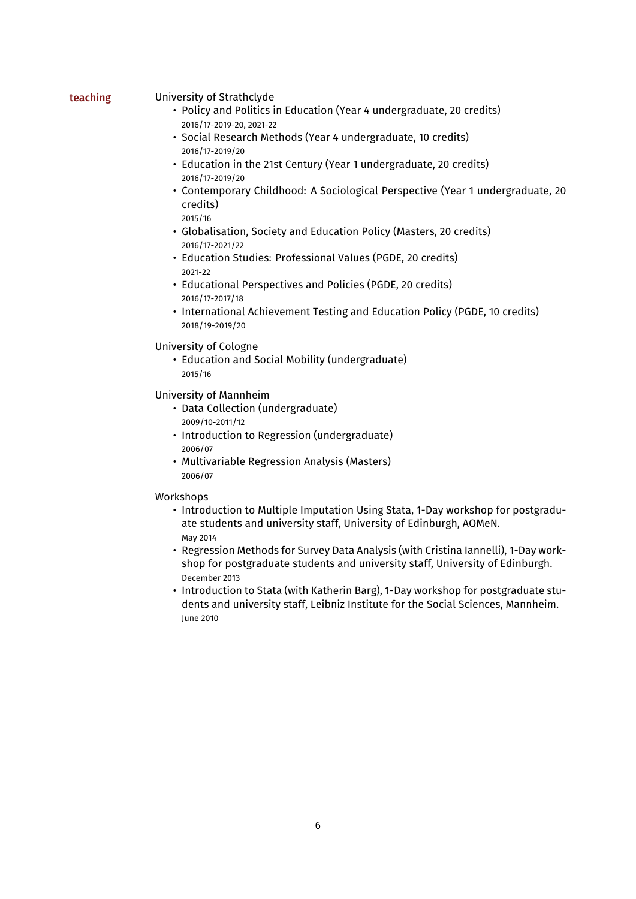# teaching University of Strathclyde

- Policy and Politics in Education (Year 4 undergraduate, 20 credits) 2016/17-2019-20, 2021-22
- Social Research Methods (Year 4 undergraduate, 10 credits) 2016/17-2019/20
- Education in the 21st Century (Year 1 undergraduate, 20 credits) 2016/17-2019/20
- Contemporary Childhood: A Sociological Perspective (Year 1 undergraduate, 20 credits) 2015/16
- Globalisation, Society and Education Policy (Masters, 20 credits) 2016/17-2021/22
- Education Studies: Professional Values (PGDE, 20 credits) 2021-22
- Educational Perspectives and Policies (PGDE, 20 credits) 2016/17-2017/18
- International Achievement Testing and Education Policy (PGDE, 10 credits) 2018/19-2019/20

# University of Cologne

• Education and Social Mobility (undergraduate) 2015/16

University of Mannheim

- Data Collection (undergraduate) 2009/10-2011/12
- Introduction to Regression (undergraduate) 2006/07
- Multivariable Regression Analysis (Masters) 2006/07

## Workshops

- Introduction to Multiple Imputation Using Stata, 1-Day workshop for postgraduate students and university staff, University of Edinburgh, AQMeN. May 2014
- Regression Methods for Survey Data Analysis (with Cristina Iannelli), 1-Day workshop for postgraduate students and university staff, University of Edinburgh. December 2013
- Introduction to Stata (with Katherin Barg), 1-Day workshop for postgraduate students and university staff, Leibniz Institute for the Social Sciences, Mannheim. June 2010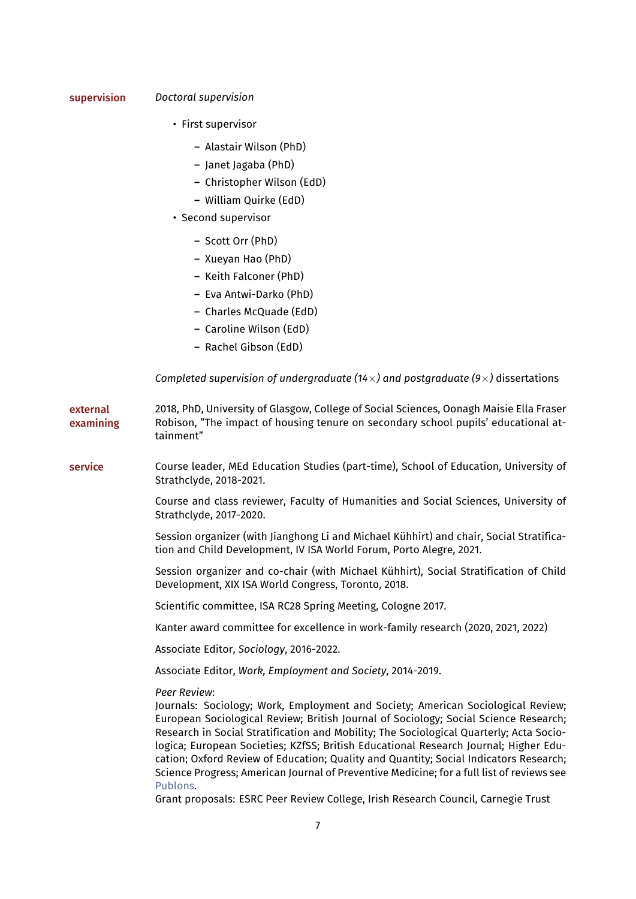# supervision *Doctoral supervision*

- First supervisor
	- Alastair Wilson (PhD)
	- Janet Jagaba (PhD)
	- Christopher Wilson (EdD)
	- William Quirke (EdD)
- Second supervisor
	- Scott Orr (PhD)
	- Xueyan Hao (PhD)
	- Keith Falconer (PhD)
	- Eva Antwi-Darko (PhD)
	- Charles McQuade (EdD)
	- Caroline Wilson (EdD)
	- Rachel Gibson (EdD)

*Completed supervision of undergraduate (14×) and postgraduate (9×)* dissertations

external examining 2018, PhD, University of Glasgow, College of Social Sciences, Oonagh Maisie Ella Fraser Robison, "The impact of housing tenure on secondary school pupils' educational attainment" service Course leader, MEd Education Studies (part-time), School of Education, University of Strathclyde, 2018-2021.

> Course and class reviewer, Faculty of Humanities and Social Sciences, University of Strathclyde, 2017-2020.

Session organizer (with Jianghong Li and Michael Kühhirt) and chair, Social Stratification and Child Development, IV ISA World Forum, Porto Alegre, 2021.

Session organizer and co-chair (with Michael Kühhirt), Social Stratification of Child Development, XIX ISA World Congress, Toronto, 2018.

Scientific committee, ISA RC28 Spring Meeting, Cologne 2017.

Kanter award committee for excellence in work-family research (2020, 2021, 2022)

Associate Editor, *Sociology*, 2016-2022.

Associate Editor, *Work, Employment and Society*, 2014-2019.

*Peer Review*:

Journals: Sociology; Work, Employment and Society; American Sociological Review; European Sociological Review; British Journal of Sociology; Social Science Research; Research in Social Stratification and Mobility; The Sociological Quarterly; Acta Sociologica; European Societies; KZfSS; British Educational Research Journal; Higher Education; Oxford Review of Education; Quality and Quantity; Social Indicators Research; Science Progress; American Journal of Preventive Medicine; for a full list of reviews see [Publons.](http://goo.gl/cW3XwS)

Grant proposals: ESRC Peer Review College, Irish Research Council, Carnegie Trust